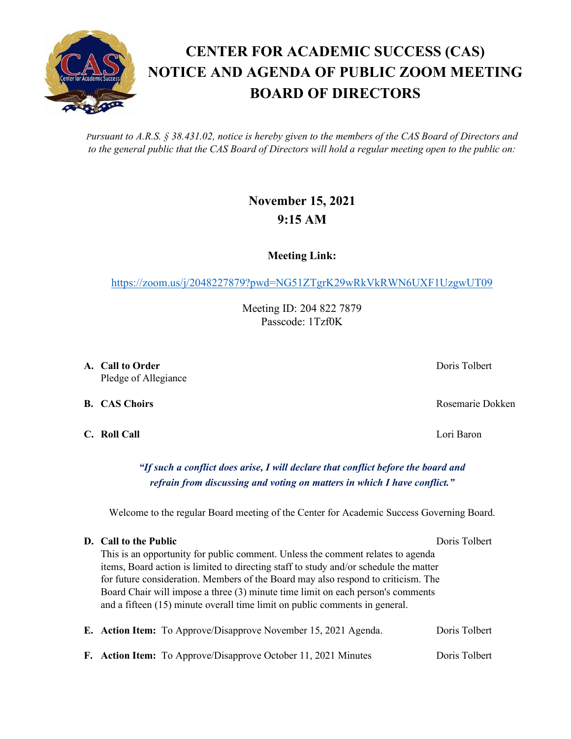*Pursuant to A.R.S. § 38.431.02, notice is hereby given to the members of the CAS Board of Directors and to the general public that the CAS Board of Directors will hold a regular meeting open to the public on:*

## **November 15, 2021 9:15 AM**

**Meeting Link:**

<https://zoom.us/j/2048227879?pwd=NG51ZTgrK29wRkVkRWN6UXF1UzgwUT09>

Meeting ID: 204 822 7879 Passcode: 1Tzf0K

**A. Call to Order** Doris Tolbert **Domain Community Community Domain Community Domain Domain Domain Domain Domain Domain Domain Domain Domain Domain Domain Domain Domain Domain Domain Domain Domain Domain Domain Dom** Pledge of Allegiance

**C. Roll Call** Lori Baron

*"If such a conflict does arise, I will declare that conflict before the board and refrain from discussing and voting on matters in which I have conflict."*

Welcome to the regular Board meeting of the Center for Academic Success Governing Board.

## **D. Call to the Public** Doris Tolbert Doris Tolbert

This is an opportunity for public comment. Unless the comment relates to agenda items, Board action is limited to directing staff to study and/or schedule the matter for future consideration. Members of the Board may also respond to criticism. The Board Chair will impose a three (3) minute time limit on each person's comments and a fifteen (15) minute overall time limit on public comments in general.

|  | E. Action Item: To Approve/Disapprove November 15, 2021 Agenda.       | Doris Tolbert |
|--|-----------------------------------------------------------------------|---------------|
|  | <b>F.</b> Action Item: To Approve/Disapprove October 11, 2021 Minutes | Doris Tolbert |

## **CENTER FOR ACADEMIC SUCCESS (CAS) NOTICE AND AGENDA OF PUBLIC ZOOM MEETING BOARD OF DIRECTORS**

**B. CAS Choirs** Rosemarie Dokken